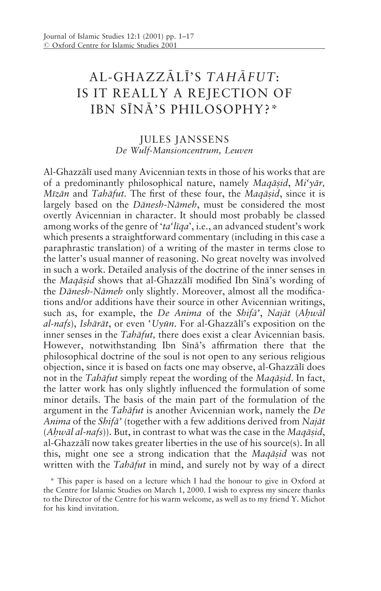## AL-GHAZZĀLĪ'S TAHĀFUT: IS IT REALLY A REJECTION OF IBN SĪNĀ'S PHILOSOPHY?\*

## **JULES JANSSENS** De Wulf-Mansioncentrum, Leuven

Al-Ghazzālī used many Avicennian texts in those of his works that are of a predominantly philosophical nature, namely Maqāsid, Mi'yār, Mīzān and Tahāfut. The first of these four, the Magāsid, since it is largely based on the Dānesh-Nāmeh, must be considered the most overtly Avicennian in character. It should most probably be classed among works of the genre of 'ta'liqa', i.e., an advanced student's work which presents a straightforward commentary (including in this case a paraphrastic translation) of a writing of the master in terms close to the latter's usual manner of reasoning. No great novelty was involved in such a work. Detailed analysis of the doctrine of the inner senses in the Maqāsid shows that al-Ghazzālī modified Ibn Sīnā's wording of the Dānesh-Nāmeh only slightly. Moreover, almost all the modifications and/or additions have their source in other Avicennian writings, such as, for example, the De Anima of the Shifa', Najāt (Ahwāl al-nafs), Ishārāt, or even 'Uyūn, For al-Ghazzālī's exposition on the inner senses in the *Tahāfut*, there does exist a clear Avicennian basis. However, notwithstanding Ibn Sīnā's affirmation there that the philosophical doctrine of the soul is not open to any serious religious objection, since it is based on facts one may observe, al-Ghazzālī does not in the Tabafut simply repeat the wording of the Magasid. In fact, the latter work has only slightly influenced the formulation of some minor details. The basis of the main part of the formulation of the argument in the Tabāfut is another Avicennian work, namely the De Anima of the Shifa' (together with a few additions derived from Najāt (Ahwāl al-nafs)). But, in contrast to what was the case in the Magāsid, al-Ghazzālī now takes greater liberties in the use of his source(s). In all this, might one see a strong indication that the Magasid was not written with the Tabafut in mind, and surely not by way of a direct

\* This paper is based on a lecture which I had the honour to give in Oxford at the Centre for Islamic Studies on March 1, 2000. I wish to express my sincere thanks to the Director of the Centre for his warm welcome, as well as to my friend Y. Michot for his kind invitation.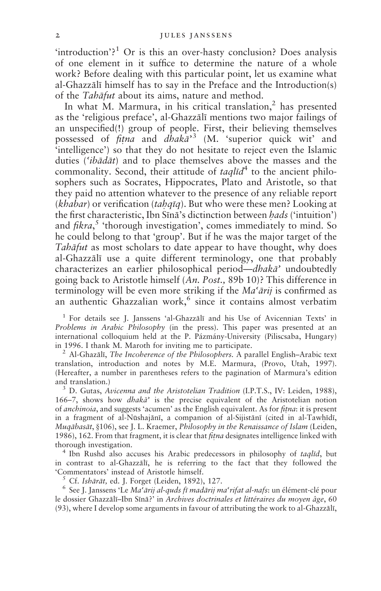'introduction'?<sup>1</sup> Or is this an over-hasty conclusion? Does analysis of one element in it suffice to determine the nature of a whole work? Before dealing with this particular point, let us examine what al-Ghazzali himself has to say in the Preface and the Introduction(s) of the *Tabāfut* about its aims, nature and method.

In what M. Marmura, in his critical translation,<sup>2</sup> has presented as the 'religious preface', al-Ghazzālī mentions two major failings of an unspecified(!) group of people. First, their believing themselves possessed of *fitna* and *dhaka*<sup>3</sup> (M. 'superior quick wit' and intelligence') so that they do not hesitate to reject even the Islamic duties ('*ibadat*) and to place themselves above the masses and the commonality. Second, their attitude of *taglid*<sup>4</sup> to the ancient philosophers such as Socrates, Hippocrates, Plato and Aristotle, so that they paid no attention whatever to the presence of any reliable report (khabar) or verification (tahqīq). But who were these men? Looking at the first characteristic, Ibn Sīnā's dictinction between *hads* ('intuition') and  $fikra$ , thorough investigation', comes immediately to mind. So he could belong to that 'group'. But if he was the major target of the *Tabāfut* as most scholars to date appear to have thought, why does al-Ghazzālī use a quite different terminology, one that probably characterizes an earlier philosophical period—*dhakā*' undoubtedly going back to Aristotle himself (An. Post., 89b 10)? This difference in terminology will be even more striking if the Ma'arij is confirmed as an authentic Ghazzalian work,<sup>6</sup> since it contains almost verbatim

<sup>1</sup> For details see J. Janssens 'al-Ghazzalī and his Use of Avicennian Texts' in Problems in Arabic Philosophy (in the press). This paper was presented at an international colloquium held at the P. Pázmány-University (Piliscsaba, Hungary) in 1996. I thank M. Maroth for inviting me to participate.

<sup>2</sup> Al-Ghazālī, *The Incoherence of the Philosophers*. A parallel English-Arabic text translation, introduction and notes by M.E. Marmura, (Provo, Utah, 1997). (Hereafter, a number in parentheses refers to the pagination of Marmura's edition and translation.)

<sup>3</sup> D. Gutas, Avicenna and the Aristotelian Tradition (I.P.T.S., IV: Leiden, 1988), 166–7, shows how *dhaka*' is the precise equivalent of the Aristotelian notion of anchinoia, and suggests 'acumen' as the English equivalent. As for fitna: it is present in a fragment of al-Nūshajānī, a companion of al-Sijistānī (cited in al-Tawhīdī, Mugābasāt, §106), see J. L. Kraemer, Philosophy in the Renaissance of Islam (Leiden, 1986), 162. From that fragment, it is clear that *fitna* designates intelligence linked with thorough investigation.

<sup>4</sup> Ibn Rushd also accuses his Arabic predecessors in philosophy of taqlīd, but in contrast to al-Ghazzali, he is referring to the fact that they followed the 'Commentators' instead of Aristotle himself.

Cf. Ishārāt, ed. J. Forget (Leiden, 1892), 127.

 $6$  See J. Janssens 'Le Ma'arij al-quds fī madārij ma'rifat al-nafs: un élément-clé pour le dossier Ghazzālī-Ibn Sīnā?' in Archives doctrinales et littéraires du moyen âge, 60 (93), where I develop some arguments in favour of attributing the work to al-Ghazzālī,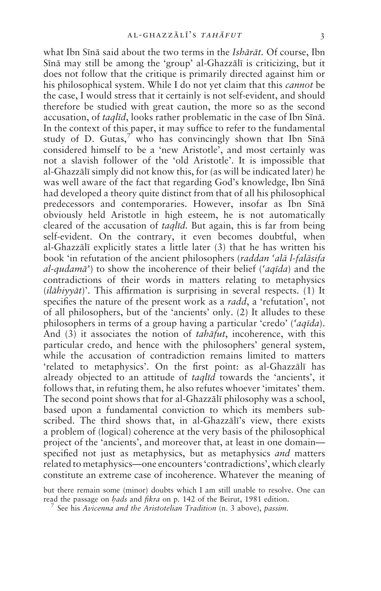what Ibn Sīnā said about the two terms in the *Ishārāt*. Of course, Ibn Sīnā may still be among the 'group' al-Ghazzālī is criticizing, but it does not follow that the critique is primarily directed against him or his philosophical system. While I do not yet claim that this *cannot* be the case. I would stress that it certainly is not self-evident, and should therefore be studied with great caution, the more so as the second accusation, of *taglid*, looks rather problematic in the case of Ibn Sina. In the context of this paper, it may suffice to refer to the fundamental study of D. Gutas,<sup>7</sup> who has convincingly shown that Ibn Sina considered himself to be a 'new Aristotle', and most certainly was not a slavish follower of the 'old Aristotle'. It is impossible that al-Ghazzālī simply did not know this, for (as will be indicated later) he was well aware of the fact that regarding God's knowledge, Ibn Sīnā had developed a theory quite distinct from that of all his philosophical predecessors and contemporaries. However, insofar as Ibn Sīnā obviously held Aristotle in high esteem, he is not automatically cleared of the accusation of *taglid*. But again, this is far from being self-evident. On the contrary, it even becomes doubtful, when al-Ghazzālī explicitly states a little later (3) that he has written his book 'in refutation of the ancient philosophers (raddan 'alā l-falāsifa al-qudamā') to show the incoherence of their belief ('aqīda) and the contradictions of their words in matters relating to metaphysics  $(i\alpha\bar{i}$  (*i* $(\alpha\bar{i}$ )<sup> $\alpha$ </sup>). This affirmation is surprising in several respects. (1) It specifies the nature of the present work as a *radd*, a 'refutation', not of all philosophers, but of the 'ancients' only. (2) It alludes to these philosophers in terms of a group having a particular 'credo' ('aqīda). And (3) it associates the notion of *tahāfut*, incoherence, with this particular credo, and hence with the philosophers' general system, while the accusation of contradiction remains limited to matters 'related to metaphysics'. On the first point: as al-Ghazzālī has already objected to an attitude of taglid towards the 'ancients', it follows that, in refuting them, he also refutes whoever 'imitates' them. The second point shows that for al-Ghazzali philosophy was a school, based upon a fundamental conviction to which its members subscribed. The third shows that, in al-Ghazzali's view, there exists a problem of (logical) coherence at the very basis of the philosophical project of the 'ancients', and moreover that, at least in one domain specified not just as metaphysics, but as metaphysics *and* matters related to metaphysics-one encounters 'contradictions', which clearly constitute an extreme case of incoherence. Whatever the meaning of

but there remain some (minor) doubts which I am still unable to resolve. One can read the passage on *hads* and *fikra* on p. 142 of the Beirut, 1981 edition.

 $\frac{7}{7}$  See his Avicenna and the Aristotelian Tradition (n. 3 above), passim.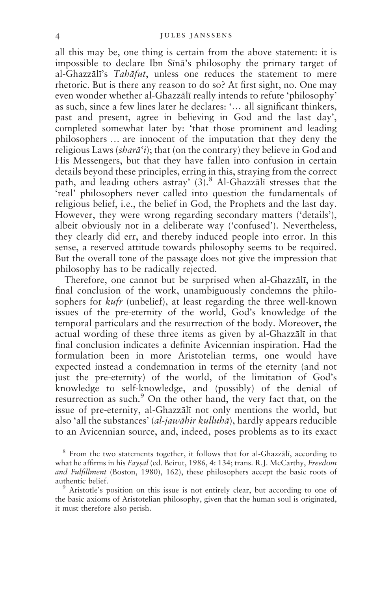all this may be, one thing is certain from the above statement: it is impossible to declare Ibn Sīnā's philosophy the primary target of al-Ghazzālī's Tahāfut, unless one reduces the statement to mere rhetoric. But is there any reason to do so? At first sight, no. One may even wonder whether al-Ghazzali really intends to refute 'philosophy' as such, since a few lines later he declares: '... all significant thinkers, past and present, agree in believing in God and the last day', completed somewhat later by: 'that those prominent and leading philosophers ... are innocent of the imputation that they deny the religious Laws (shara'i); that (on the contrary) they believe in God and His Messengers, but that they have fallen into confusion in certain details beyond these principles, erring in this, straying from the correct path, and leading others astray' (3).<sup>8</sup> Al-Ghazzālī stresses that the 'real' philosophers never called into question the fundamentals of religious belief, i.e., the belief in God, the Prophets and the last day. However, they were wrong regarding secondary matters ('details'), albeit obviously not in a deliberate way ('confused'). Nevertheless, they clearly did err, and thereby induced people into error. In this sense, a reserved attitude towards philosophy seems to be required. But the overall tone of the passage does not give the impression that philosophy has to be radically rejected.

Therefore, one cannot but be surprised when al-Ghazzālī, in the final conclusion of the work, unambiguously condemns the philosophers for *kufr* (unbelief), at least regarding the three well-known issues of the pre-eternity of the world, God's knowledge of the temporal particulars and the resurrection of the body. Moreover, the actual wording of these three items as given by al-Ghazzālī in that final conclusion indicates a definite Avicennian inspiration. Had the formulation been in more Aristotelian terms, one would have expected instead a condemnation in terms of the eternity (and not just the pre-eternity) of the world, of the limitation of God's knowledge to self-knowledge, and (possibly) of the denial of resurrection as such.<sup>9</sup> On the other hand, the very fact that, on the issue of pre-eternity, al-Ghazzalī not only mentions the world, but also 'all the substances' *(al-jawāhir kulluhā)*, hardly appears reducible to an Avicennian source, and, indeed, poses problems as to its exact

<sup>8</sup> From the two statements together, it follows that for al-Ghazzali, according to what he affirms in his Faysal (ed. Beirut, 1986, 4: 134; trans. R.J. McCarthy, Freedom and Fulfillment (Boston, 1980), 162), these philosophers accept the basic roots of authentic belief.

<sup>9</sup> Aristotle's position on this issue is not entirely clear, but according to one of the basic axioms of Aristotelian philosophy, given that the human soul is originated, it must therefore also perish.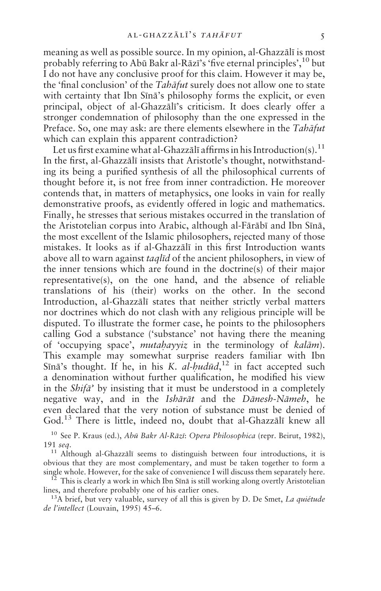meaning as well as possible source. In my opinion, al-Ghazzālī is most probably referring to Abū Bakr al-Rāzī's 'five eternal principles', <sup>10</sup> but I do not have any conclusive proof for this claim. However it may be, the 'final conclusion' of the *Tahāfut* surely does not allow one to state with certainty that Ibn Sīnā's philosophy forms the explicit, or even principal, object of al-Ghazzali's criticism. It does clearly offer a stronger condemnation of philosophy than the one expressed in the Preface. So, one may ask: are there elements elsewhere in the Tahāfut which can explain this apparent contradiction?

Let us first examine what al-Ghazzālī affirms in his Introduction(s).<sup>11</sup> In the first, al-Ghazzālī insists that Aristotle's thought, notwithstanding its being a purified synthesis of all the philosophical currents of thought before it, is not free from inner contradiction. He moreover contends that, in matters of metaphysics, one looks in vain for really demonstrative proofs, as evidently offered in logic and mathematics. Finally, he stresses that serious mistakes occurred in the translation of the Aristotelian corpus into Arabic, although al-Fārābī and Ibn Sīnā, the most excellent of the Islamic philosophers, rejected many of those mistakes. It looks as if al-Ghazzālī in this first Introduction wants above all to warn against *taglid* of the ancient philosophers, in view of the inner tensions which are found in the doctrine(s) of their major representative(s), on the one hand, and the absence of reliable translations of his (their) works on the other. In the second Introduction, al-Ghazzālī states that neither strictly verbal matters nor doctrines which do not clash with any religious principle will be disputed. To illustrate the former case, he points to the philosophers calling God a substance ('substance' not having there the meaning of 'occupying space', *mutahayyiz* in the terminology of *kalām*). This example may somewhat surprise readers familiar with Ibn Sīnā's thought. If he, in his K. al-hudūd,<sup>12</sup> in fact accepted such a denomination without further qualification, he modified his view in the *Shifa*' by insisting that it must be understood in a completely negative way, and in the *Ishārāt* and the *Dānesh-Nāmeh*, he even declared that the very notion of substance must be denied of God.<sup>13</sup> There is little, indeed no, doubt that al-Ghazzali knew all

<sup>10</sup> See P. Kraus (ed.), Abū Bakr Al-Rāzī: Opera Philosophica (repr. Beirut, 1982), 191 sea.

<sup>11</sup> Although al-Ghazzali seems to distinguish between four introductions, it is obvious that they are most complementary, and must be taken together to form a single whole. However, for the sake of convenience I will discuss them separately here.

<sup>12</sup> This is clearly a work in which Ibn Sīnā is still working along overtly Aristotelian lines, and therefore probably one of his earlier ones.

<sup>13</sup>A brief, but very valuable, survey of all this is given by D. De Smet, La quietude de l'intellect (Louvain, 1995) 45-6.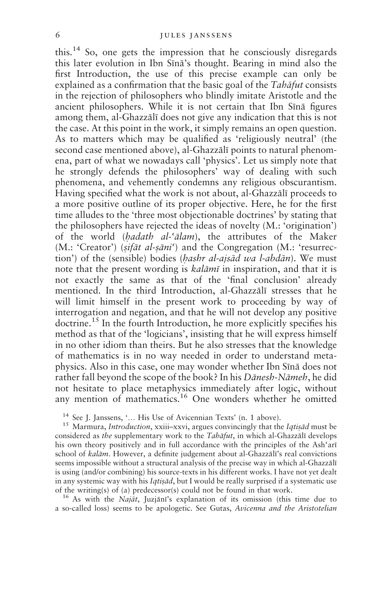this.<sup>14</sup> So, one gets the impression that he consciously disregards this later evolution in Ibn Sīnā's thought. Bearing in mind also the first Introduction, the use of this precise example can only be explained as a confirmation that the basic goal of the *Tabāfut* consists in the rejection of philosophers who blindly imitate Aristotle and the ancient philosophers. While it is not certain that Ibn Sīnā figures among them, al-Ghazzālī does not give any indication that this is not the case. At this point in the work, it simply remains an open question. As to matters which may be qualified as 'religiously neutral' (the second case mentioned above), al-Ghazzālī points to natural phenomena, part of what we nowadays call 'physics'. Let us simply note that he strongly defends the philosophers' way of dealing with such phenomena, and vehemently condemns any religious obscurantism. Having specified what the work is not about, al-Ghazzālī proceeds to a more positive outline of its proper objective. Here, he for the first time alludes to the 'three most objectionable doctrines' by stating that the philosophers have rejected the ideas of novelty (M.: 'origination') of the world (*hadath al-'alam*), the attributes of the Maker (M.: 'Creator') (sifāt al-sāni') and the Congregation (M.: 'resurrection') of the (sensible) bodies (*hashr al-ajsād wa l-abdān*). We must note that the present wording is *kalāmī* in inspiration, and that it is not exactly the same as that of the 'final conclusion' already mentioned. In the third Introduction, al-Ghazzālī stresses that he will limit himself in the present work to proceeding by way of interrogation and negation, and that he will not develop any positive doctrine.<sup>15</sup> In the fourth Introduction, he more explicitly specifies his method as that of the 'logicians', insisting that he will express himself in no other idiom than theirs. But he also stresses that the knowledge of mathematics is in no way needed in order to understand metaphysics. Also in this case, one may wonder whether Ibn Sīnā does not rather fall beyond the scope of the book? In his *Dānesh-Nāmeh*, he did not hesitate to place metaphysics immediately after logic, without any mention of mathematics.<sup>16</sup> One wonders whether he omitted

<sup>14</sup> See J. Janssens, '... His Use of Avicennian Texts' (n. 1 above).

<sup>15</sup> Marmura, *Introduction*, xxiii–xxvi, argues convincingly that the *Iqtisad* must be considered as the supplementary work to the Tahāfut, in which al-Ghazzālī develops his own theory positively and in full accordance with the principles of the Ash'arī school of kalām. However, a definite judgement about al-Ghazzālī's real convictions seems impossible without a structural analysis of the precise way in which al-Ghazzālī is using (and/or combining) his source-texts in his different works. I have not yet dealt in any systemic way with his Iqtisād, but I would be really surprised if a systematic use of the writing(s) of (a) predecessor(s) could not be found in that work.

<sup>16</sup> As with the *Najāt*, Juzjānī's explanation of its omission (this time due to a so-called loss) seems to be apologetic. See Gutas, Avicenna and the Aristotelian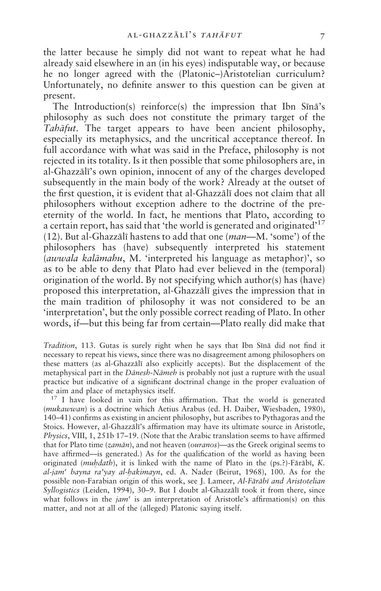the latter because he simply did not want to repeat what he had already said elsewhere in an (in his eyes) indisputable way, or because he no longer agreed with the (Platonic–)Aristotelian curriculum? Unfortunately, no definite answer to this question can be given at present.

The Introduction(s) reinforce(s) the impression that Ibn Sīnā's philosophy as such does not constitute the primary target of the *Tabāfut*. The target appears to have been ancient philosophy, especially its metaphysics, and the uncritical acceptance thereof. In full accordance with what was said in the Preface, philosophy is not rejected in its totality. Is it then possible that some philosophers are, in al-Ghazzālī's own opinion, innocent of any of the charges developed subsequently in the main body of the work? Already at the outset of the first question, it is evident that al-Ghazzali does not claim that all philosophers without exception adhere to the doctrine of the preeternity of the world. In fact, he mentions that Plato, according to a certain report, has said that 'the world is generated and originated'<sup>17</sup> (12). But al-Ghazzālī hastens to add that one (*man*—M. 'some') of the philosophers has (have) subsequently interpreted his statement (awwala kalāmahu, M. 'interpreted his language as metaphor)', so as to be able to deny that Plato had ever believed in the (temporal) origination of the world. By not specifying which author(s) has (have) proposed this interpretation, al-Ghazzālī gives the impression that in the main tradition of philosophy it was not considered to be an 'interpretation', but the only possible correct reading of Plato. In other words, if—but this being far from certain—Plato really did make that

Tradition, 113. Gutas is surely right when he says that Ibn Sīnā did not find it necessary to repeat his views, since there was no disagreement among philosophers on these matters (as al-Ghazzali also explicitly accepts). But the displacement of the metaphysical part in the Dānesh-Nāmeh is probably not just a rupture with the usual practice but indicative of a significant doctrinal change in the proper evaluation of the aim and place of metaphysics itself.

<sup>17</sup> I have looked in vain for this affirmation. That the world is generated (mukawwan) is a doctrine which Aetius Arabus (ed. H. Daiber, Wiesbaden, 1980), 140-41) confirms as existing in ancient philosophy, but ascribes to Pythagoras and the Stoics. However, al-Ghazzālī's affirmation may have its ultimate source in Aristotle, Physics, VIII, 1, 251b 17–19. (Note that the Arabic translation seems to have affirmed that for Plato time (zamān), and not heaven (ouranos)—as the Greek original seems to have affirmed—is generated.) As for the qualification of the world as having been originated (muhdath), it is linked with the name of Plato in the (ps.?)-Fārābī, K. al-jam' bayna ra'yay al-hakimayn, ed. A. Nader (Beirut, 1968), 100. As for the possible non-Farabian origin of this work, see J. Lameer, Al-Fārābī and Aristotelian Syllogistics (Leiden, 1994), 30–9. But I doubt al-Ghazzālī took it from there, since what follows in the  $jam<sup>2</sup>$  is an interpretation of Aristotle's affirmation(s) on this matter, and not at all of the (alleged) Platonic saying itself.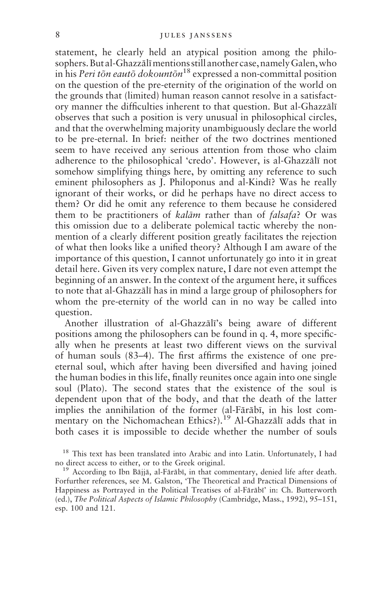statement, he clearly held an atypical position among the philosophers. But al-Ghazzālī mentions still another case, namely Galen, who in his *Peri tõn eautõ dokountõn*<sup>18</sup> expressed a non-committal position on the question of the pre-eternity of the origination of the world on the grounds that (limited) human reason cannot resolve in a satisfactory manner the difficulties inherent to that question. But al-Ghazzālī observes that such a position is very unusual in philosophical circles, and that the overwhelming majority unambiguously declare the world to be pre-eternal. In brief: neither of the two doctrines mentioned seem to have received any serious attention from those who claim adherence to the philosophical 'credo'. However, is al-Ghazzālī not somehow simplifying things here, by omitting any reference to such eminent philosophers as J. Philoponus and al-Kindī? Was he really ignorant of their works, or did he perhaps have no direct access to them? Or did he omit any reference to them because he considered them to be practitioners of *kalām* rather than of *falsafa*? Or was this omission due to a deliberate polemical tactic whereby the nonmention of a clearly different position greatly facilitates the rejection of what then looks like a unified theory? Although I am aware of the importance of this question, I cannot unfortunately go into it in great detail here. Given its very complex nature, I dare not even attempt the beginning of an answer. In the context of the argument here, it suffices to note that al-Ghazzali has in mind a large group of philosophers for whom the pre-eternity of the world can in no way be called into question.

Another illustration of al-Ghazzālī's being aware of different positions among the philosophers can be found in q. 4, more specifically when he presents at least two different views on the survival of human souls (83–4). The first affirms the existence of one preeternal soul, which after having been diversified and having joined the human bodies in this life, finally reunites once again into one single soul (Plato). The second states that the existence of the soul is dependent upon that of the body, and that the death of the latter implies the annihilation of the former (al-Fārābī, in his lost commentary on the Nichomachean Ethics?).<sup>19</sup> Al-Ghazzali adds that in both cases it is impossible to decide whether the number of souls

<sup>&</sup>lt;sup>18</sup> This text has been translated into Arabic and into Latin. Unfortunately, I had no direct access to either, or to the Greek original.

<sup>&</sup>lt;sup>19</sup> According to Ibn Bājjā, al-Fārābī, in that commentary, denied life after death. Forfurther references, see M. Galston, 'The Theoretical and Practical Dimensions of Happiness as Portrayed in the Political Treatises of al-Fārābī' in: Ch. Butterworth (ed.), The Political Aspects of Islamic Philosophy (Cambridge, Mass., 1992), 95–151, esp. 100 and 121.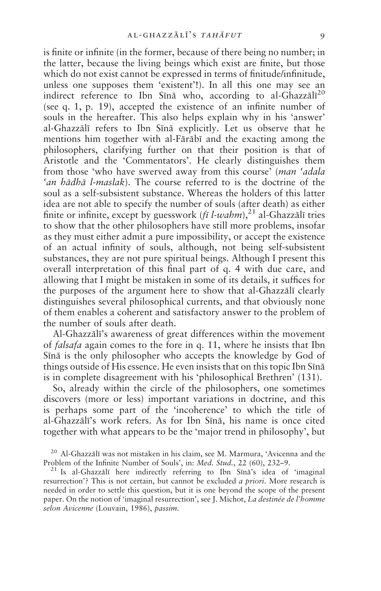is finite or infinite (in the former, because of there being no number; in the latter, because the living beings which exist are finite, but those which do not exist cannot be expressed in terms of finitude/infinitude. unless one supposes them 'existent'!). In all this one may see an indirect reference to Ibn Sīnā who, according to al-Ghazzālī<sup>20</sup> (see q. 1, p. 19), accepted the existence of an infinite number of souls in the hereafter. This also helps explain why in his 'answer' al-Ghazzālī refers to Ibn Sīnā explicitly. Let us observe that he mentions him together with al-Fārābī and the exacting among the philosophers, clarifying further on that their position is that of Aristotle and the 'Commentators'. He clearly distinguishes them from those 'who have swerved away from this course' (man 'adala 'an hādhā l-maslak). The course referred to is the doctrine of the soul as a self-subsistent substance. Whereas the holders of this latter idea are not able to specify the number of souls (after death) as either finite or infinite, except by guesswork  $(f\bar{\imath} \, l\text{-} wahm)$ ,<sup>21</sup> al-Ghazzālī tries to show that the other philosophers have still more problems, insofar as they must either admit a pure impossibility, or accept the existence of an actual infinity of souls, although, not being self-subsistent substances, they are not pure spiritual beings. Although I present this overall interpretation of this final part of q. 4 with due care, and allowing that I might be mistaken in some of its details, it suffices for the purposes of the argument here to show that al-Ghazzālī clearly distinguishes several philosophical currents, and that obviously none of them enables a coherent and satisfactory answer to the problem of the number of souls after death.

Al-Ghazzālī's awareness of great differences within the movement of *falsafa* again comes to the fore in q. 11, where he insists that Ibn Sīnā is the only philosopher who accepts the knowledge by God of things outside of His essence. He even insists that on this topic Ibn Sīnā is in complete disagreement with his 'philosophical Brethren' (131).

So, already within the circle of the philosophers, one sometimes discovers (more or less) important variations in doctrine, and this is perhaps some part of the 'incoherence' to which the title of al-Ghazzālī's work refers. As for Ibn Sīnā, his name is once cited together with what appears to be the 'major trend in philosophy', but

<sup>20</sup> Al-Ghazzālī was not mistaken in his claim, see M. Marmura, 'Avicenna and the Problem of the Infinite Number of Souls', in: Med. Stud., 22 (60), 232-9.

<sup>21</sup> Is al-Ghazzali here indirectly referring to Ibn Sina's idea of 'imaginal resurrection'? This is not certain, but cannot be excluded a priori. More research is needed in order to settle this question, but it is one beyond the scope of the present paper. On the notion of 'imaginal resurrection', see J. Michot, La destinée de l'homme selon Avicenne (Louvain, 1986), passim.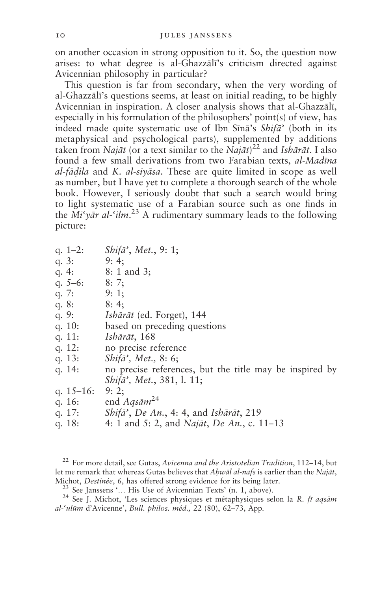on another occasion in strong opposition to it. So, the question now arises: to what degree is al-Ghazzali's criticism directed against Avicennian philosophy in particular?

This question is far from secondary, when the very wording of al-Ghazzālī's questions seems, at least on initial reading, to be highly Avicennian in inspiration. A closer analysis shows that al-Ghazzālī, especially in his formulation of the philosophers' point(s) of view, has indeed made quite systematic use of Ibn Sīnā's Shifā' (both in its metaphysical and psychological parts), supplemented by additions taken from Najāt (or a text similar to the Najāt)<sup>22</sup> and *Ishārāt*. I also found a few small derivations from two Farabian texts, al-Madīna al-fādila and K. al-sivāsa. These are quite limited in scope as well as number, but I have yet to complete a thorough search of the whole book. However, I seriously doubt that such a search would bring to light systematic use of a Farabian source such as one finds in the  $Mi'$  vār al-'ilm.<sup>23</sup> A rudimentary summary leads to the following picture:

| q. $1-2$ :   | Shifa', Met., 9: 1;                                            |
|--------------|----------------------------------------------------------------|
| q. $3:$      | 9:4                                                            |
| q. $4:$      | $8: 1$ and 3;                                                  |
| q. $5-6$ :   | 8:7:                                                           |
| q. $7:$      | 9:1;                                                           |
| q. $8:$      | 8:4                                                            |
| q. $9:$      | <i>Ishārāt</i> (ed. Forget), 144                               |
| q. $10:$     | based on preceding questions                                   |
| q. $11:$     | Ishārāt, 168                                                   |
| q. $12:$     | no precise reference                                           |
| q. $13:$     | Shifa', Met., 8: 6;                                            |
| q. $14:$     | no precise references, but the title may be inspired by        |
|              | <i>Shifa</i> ', <i>Met.</i> , 381, l. 11;                      |
| q. $15-16$ : | 9:2                                                            |
| q. $16:$     | end $Aq\bar{s}$ <i>am</i> <sup>24</sup>                        |
| a. $17:$     | <i>Shifa</i> ', <i>De An.</i> , 4: 4, and <i>Isharat</i> , 219 |

4: 1 and 5: 2, and Najāt, De An., c. 11-13 q.  $18:$ 

<sup>22</sup> For more detail, see Gutas, Avicenna and the Aristotelian Tradition, 112-14, but let me remark that whereas Gutas believes that Ahwāl al-nafs is earlier than the Najāt, Michot, Destinée, 6, has offered strong evidence for its being later.

<sup>23</sup> See Janssens '... His Use of Avicennian Texts' (n. 1, above).

<sup>24</sup> See J. Michot, 'Les sciences physiques et métaphysiques selon la R. fī aqsām al-'ulūm d'Avicenne', Bull. philos. méd., 22 (80), 62-73, App.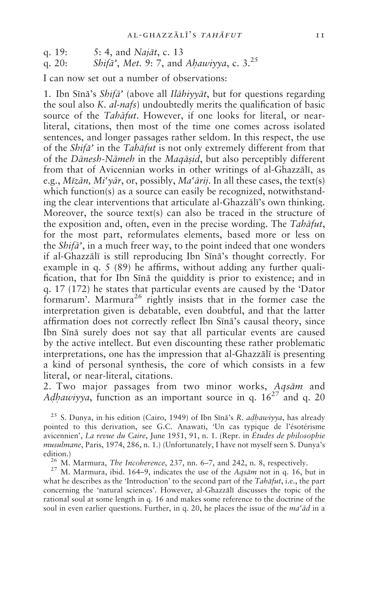5: 4, and *Najāt*, c. 13 q.  $19:$ 

Shifā', Met. 9: 7, and Ahawiyya, c. 3.<sup>25</sup> q.  $20:$ 

Lean now set out a number of observations:

1. Ibn Sīnā's Shifā' (above all Ilāhiyyāt, but for questions regarding the soul also K. *al-nafs*) undoubtedly merits the qualification of basic source of the *Tahāfut*. However, if one looks for literal, or nearliteral, citations, then most of the time one comes across isolated sentences, and longer passages rather seldom. In this respect, the use of the *Shifa*' in the *Tahāfut* is not only extremely different from that of the *Dānesh-Nāmeh* in the *Magasid*, but also perceptibly different from that of Avicennian works in other writings of al-Ghazzālī, as e.g.,  $Miz\bar{a}n$ ,  $Mi'\overline{v}\bar{a}r$ , or, possibly,  $Ma'\overline{a}rii$ . In all these cases, the text(s) which function(s) as a source can easily be recognized, notwithstanding the clear interventions that articulate al-Ghazzālī's own thinking. Moreover, the source text(s) can also be traced in the structure of the exposition and, often, even in the precise wording. The Tahāfut, for the most part, reformulates elements, based more or less on the *Shifa*<sup>2</sup>, in a much freer way, to the point indeed that one wonders if al-Ghazzālī is still reproducing Ibn Sīnā's thought correctly. For example in q. 5 (89) he affirms, without adding any further qualification, that for Ibn Sīnā the quiddity is prior to existence; and in q. 17 (172) he states that particular events are caused by the 'Dator formarum'. Marmura<sup>26</sup> rightly insists that in the former case the interpretation given is debatable, even doubtful, and that the latter affirmation does not correctly reflect Ibn Sīnā's causal theory, since Ibn Sīnā surely does not say that all particular events are caused by the active intellect. But even discounting these rather problematic interpretations, one has the impression that al-Ghazzali is presenting a kind of personal synthesis, the core of which consists in a few literal, or near-literal, citations.

2. Two major passages from two minor works, Aqsām and Adhawiyya, function as an important source in q.  $16^{27}$  and q. 20

<sup>25</sup> S. Dunya, in his edition (Cairo, 1949) of Ibn Sīnā's R. *adhawiyya*, has already pointed to this derivation, see G.C. Anawati, 'Un cas typique de l'ésotérisme avicennien', La revue du Caire, June 1951, 91, n. 1. (Repr. in Études de philosophie musulmane, Paris, 1974, 286, n. 1.) (Unfortunately, I have not myself seen S. Dunya's edition.)

<sup>26</sup> M. Marmura, *The Incoherence*, 237, nn. 6-7, and 242, n. 8, respectively.

<sup>27</sup> M. Marmura, ibid. 164-9, indicates the use of the Aqsam not in q. 16, but in what he describes as the 'Introduction' to the second part of the Tahāfut, i.e., the part concerning the 'natural sciences'. However, al-Ghazzali discusses the topic of the rational soul at some length in q. 16 and makes some reference to the doctrine of the soul in even earlier questions. Further, in q. 20, he places the issue of the ma'ad in a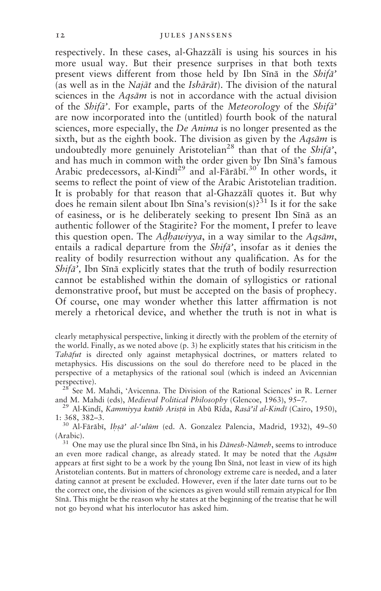respectively. In these cases, al-Ghazzālī is using his sources in his more usual way. But their presence surprises in that both texts present views different from those held by Ibn Sīnā in the Shifa' (as well as in the *Najāt* and the *Ishārāt*). The division of the natural sciences in the *Aasām* is not in accordance with the actual division of the Shifa'. For example, parts of the Meteorology of the Shifa' are now incorporated into the (untitled) fourth book of the natural sciences, more especially, the *De Anima* is no longer presented as the sixth, but as the eighth book. The division as given by the  $Ags\bar{a}m$  is undoubtedly more genuinely Aristotelian<sup>28</sup> than that of the *Shifa*'. and has much in common with the order given by Ibn Sīnā's famous Arabic predecessors, al-Kindī<sup>29</sup> and al-Fārābī.<sup>30</sup> In other words, it seems to reflect the point of view of the Arabic Aristotelian tradition. It is probably for that reason that al-Ghazzali quotes it. But why does he remain silent about Ibn Sīna's revision(s)?<sup>31</sup> Is it for the sake of easiness, or is he deliberately seeking to present Ibn Sina as an authentic follower of the Stagirite? For the moment, I prefer to leave this question open. The Adhawiyya, in a way similar to the Aqsām, entails a radical departure from the Shifa', insofar as it denies the reality of bodily resurrection without any qualification. As for the  $\delta h$ ifā', Ibn Sīnā explicitly states that the truth of bodily resurrection cannot be established within the domain of syllogistics or rational demonstrative proof, but must be accepted on the basis of prophecy. Of course, one may wonder whether this latter affirmation is not merely a rhetorical device, and whether the truth is not in what is

clearly metaphysical perspective, linking it directly with the problem of the eternity of the world. Finally, as we noted above (p. 3) he explicitly states that his criticism in the Tahāfut is directed only against metaphysical doctrines, or matters related to metaphysics. His discussions on the soul do therefore need to be placed in the perspective of a metaphysics of the rational soul (which is indeed an Avicennian perspective).

<sup>28</sup> See M. Mahdi, 'Avicenna. The Division of the Rational Sciences' in R. Lerner and M. Mahdi (eds), Medieval Political Philosophy (Glencoe, 1963), 95-7.

<sup>29</sup> Al-Kindī, Kammiyya kutūb Aristū in Abū Rīda, Rasā'il al-Kindī (Cairo, 1950),  $1: 368, 382 - 3.$ 

<sup>30</sup> Al-Fārābī, Ihsā' al-'ulūm (ed. A. Gonzalez Palencia, Madrid, 1932), 49-50 (Arabic).

<sup>31</sup> One may use the plural since Ibn Sīnā, in his Dānesh-Nāmeh, seems to introduce an even more radical change, as already stated. It may be noted that the Aqsām appears at first sight to be a work by the young Ibn Sīnā, not least in view of its high Aristotelian contents. But in matters of chronology extreme care is needed, and a later dating cannot at present be excluded. However, even if the later date turns out to be the correct one, the division of the sciences as given would still remain atypical for Ibn Sīnā. This might be the reason why he states at the beginning of the treatise that he will not go beyond what his interlocutor has asked him.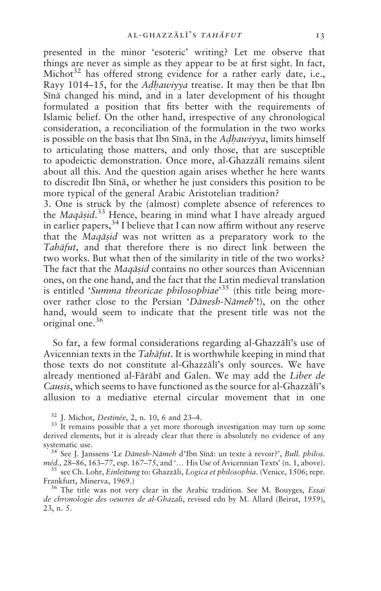presented in the minor 'esoteric' writing? Let me observe that things are never as simple as they appear to be at first sight. In fact, Michot<sup>32</sup> has offered strong evidence for a rather early date, i.e., Rayy 1014–15, for the Adhawiyya treatise. It may then be that Ibn Sīnā changed his mind, and in a later development of his thought formulated a position that fits better with the requirements of Islamic belief. On the other hand, irrespective of any chronological consideration, a reconciliation of the formulation in the two works is possible on the basis that Ibn Sīnā, in the *Adhawiyya*, limits himself to articulating those matters, and only those, that are susceptible to apodeictic demonstration. Once more, al-Ghazzālī remains silent about all this. And the question again arises whether he here wants to discredit Ibn Sīnā, or whether he just considers this position to be more typical of the general Arabic Aristotelian tradition?

3. One is struck by the (almost) complete absence of references to the Maqāsid.<sup>33</sup> Hence, bearing in mind what I have already argued in earlier papers,  $3<sup>4</sup>$  I believe that I can now affirm without any reserve that the *Magasid* was not written as a preparatory work to the Tahāfut, and that therefore there is no direct link between the two works. But what then of the similarity in title of the two works? The fact that the Magasid contains no other sources than Avicennian ones, on the one hand, and the fact that the Latin medieval translation is entitled 'Summa theoricae philosophiae'<sup>35</sup> (this title being moreover rather close to the Persian 'Danesh-Nameh'!), on the other hand, would seem to indicate that the present title was not the original one.<sup>36</sup>

So far, a few formal considerations regarding al-Ghazzali's use of Avicennian texts in the Tabafut. It is worthwhile keeping in mind that those texts do not constitute al-Ghazzali's only sources. We have already mentioned al-Fārābī and Galen. We may add the Liber de Causis, which seems to have functioned as the source for al-Ghazzālī's allusion to a mediative eternal circular movement that in one

<sup>32</sup> J. Michot, *Destinée*, 2, n. 10, 6 and 23–4.

<sup>33</sup> It remains possible that a yet more thorough investigation may turn up some derived elements, but it is already clear that there is absolutely no evidence of any systematic use.

<sup>34</sup> See J. Janssens 'Le Dānesh-Nāmeh d'Ibn Sīnā: un texte à revoir?', Bull. philos. méd., 28–86, 163–77, esp. 167–75, and '... His Use of Avicennian Texts' (n. 1, above).

<sup>35</sup> see Ch. Lohr, *Einleitung* to: Ghazzāli, *Logica et philosophia*. (Venice, 1506; repr. Frankfurt, Minerva, 1969.)

<sup>36</sup> The title was not very clear in the Arabic tradition. See M. Bouyges, *Essai* de chronologie des oeuvres de al-Ghazali, revised edn by M. Allard (Beirut, 1959), 23, n. 5.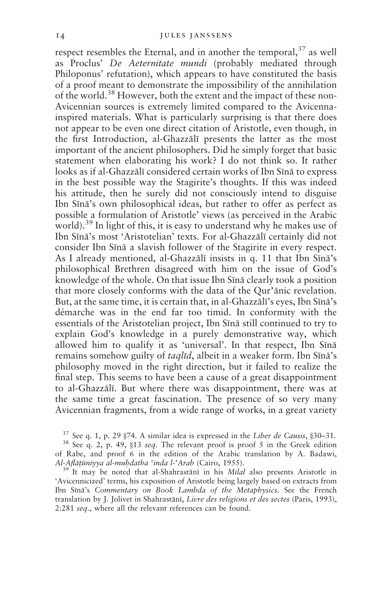respect resembles the Eternal, and in another the temporal, <sup>37</sup> as well as Proclus' De Aeternitate mundi (probably mediated through Philoponus' refutation), which appears to have constituted the basis of a proof meant to demonstrate the impossibility of the annihilation of the world.<sup>38</sup> However, both the extent and the impact of these non-Avicennian sources is extremely limited compared to the Avicennainspired materials. What is particularly surprising is that there does not appear to be even one direct citation of Aristotle, even though, in the first Introduction, al-Ghazzālī presents the latter as the most important of the ancient philosophers. Did he simply forget that basic statement when elaborating his work? I do not think so. It rather looks as if al-Ghazzālī considered certain works of Ibn Sīnā to express in the best possible way the Stagirite's thoughts. If this was indeed his attitude, then he surely did not consciously intend to disguise Ibn Sīnā's own philosophical ideas, but rather to offer as perfect as possible a formulation of Aristotle' views (as perceived in the Arabic world).<sup>39</sup> In light of this, it is easy to understand why he makes use of Ibn Sīnā's most 'Aristotelian' texts. For al-Ghazzālī certainly did not consider Ibn Sīnā a slavish follower of the Stagirite in every respect. As I already mentioned, al-Ghazzālī insists in q. 11 that Ibn Sīnā's philosophical Brethren disagreed with him on the issue of God's knowledge of the whole. On that issue Ibn Sina clearly took a position that more closely conforms with the data of the Qur'anic revelation. But, at the same time, it is certain that, in al-Ghazzālī's eyes, Ibn Sīnā's démarche was in the end far too timid. In conformity with the essentials of the Aristotelian project, Ibn Sīnā still continued to try to explain God's knowledge in a purely demonstrative way, which allowed him to qualify it as 'universal'. In that respect, Ibn Sīnā remains somehow guilty of *taglid*, albeit in a weaker form. Ibn Sina's philosophy moved in the right direction, but it failed to realize the final step. This seems to have been a cause of a great disappointment to al-Ghazzālī. But where there was disappointment, there was at the same time a great fascination. The presence of so very many Avicennian fragments, from a wide range of works, in a great variety

 $37$  See q. 1, p. 29  $\S$ 74. A similar idea is expressed in the Liber de Causis,  $\S$ 30–31.

<sup>&</sup>lt;sup>38</sup> See q. 2, p. 49, §13 seq. The relevant proof is proof 5 in the Greek edition of Rabe, and proof 6 in the edition of the Arabic translation by A. Badawi, Al-Aflātūniyya al-muhdatha 'inda l-'Arab (Cairo, 1955).

<sup>&</sup>lt;sup>39</sup> It may be noted that al-Shahrastānī in his Milal also presents Aristotle in 'Avicennicized' terms, his exposition of Aristotle being largely based on extracts from Ibn Sīnā's Commentary on Book Lambda of the Metaphysics. See the French translation by J. Jolivet in Shahrastānī, Livre des religions et des sectes (Paris, 1993), 2:281 seq., where all the relevant references can be found.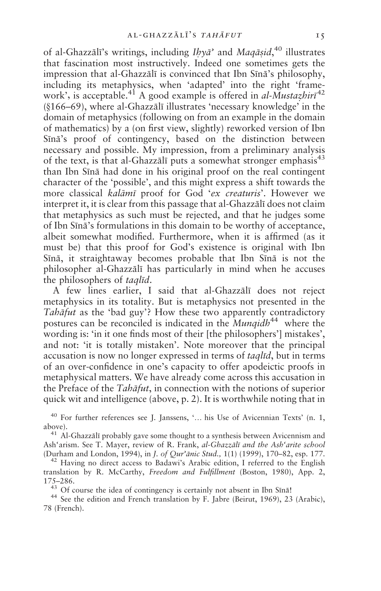of al-Ghazzālī's writings, including  $Ib\gamma\bar{a}$ ' and Maqāsid,<sup>40</sup> illustrates that fascination most instructively. Indeed one sometimes gets the impression that al-Ghazzālī is convinced that Ibn Sīnā's philosophy, including its metaphysics, when 'adapted' into the right 'framework', is acceptable.<sup>41</sup> A good example is offered in *al-Mustazhiri*<sup>42</sup> (§166–69), where al-Ghazzālī illustrates 'necessary knowledge' in the domain of metaphysics (following on from an example in the domain of mathematics) by a (on first view, slightly) reworked version of Ibn Sīnā's proof of contingency, based on the distinction between necessary and possible. My impression, from a preliminary analysis of the text, is that al-Ghazzali puts a somewhat stronger emphasis<sup>43</sup> than Ibn Sīnā had done in his original proof on the real contingent character of the 'possible', and this might express a shift towards the more classical kalāmī proof for God 'ex creaturis'. However we interpret it, it is clear from this passage that al-Ghazzālī does not claim that metaphysics as such must be rejected, and that he judges some of Ibn Sīnā's formulations in this domain to be worthy of acceptance, albeit somewhat modified. Furthermore, when it is affirmed (as it must be) that this proof for God's existence is original with Ibn Sīnā, it straightaway becomes probable that Ibn Sīnā is not the philosopher al-Ghazzālī has particularly in mind when he accuses the philosophers of *taglid*.

A few lines earlier, I said that al-Ghazzali does not reject metaphysics in its totality. But is metaphysics not presented in the *Tabāfut* as the 'bad guy'? How these two apparently contradictory postures can be reconciled is indicated in the Munqidh<sup>44</sup> where the wording is: 'in it one finds most of their [the philosophers'] mistakes', and not: 'it is totally mistaken'. Note moreover that the principal accusation is now no longer expressed in terms of *taglid*, but in terms of an over-confidence in one's capacity to offer apodeictic proofs in metaphysical matters. We have already come across this accusation in the Preface of the Tahāfut, in connection with the notions of superior quick wit and intelligence (above, p. 2). It is worthwhile noting that in

<sup>40</sup> For further references see J. Janssens, '... his Use of Avicennian Texts' (n. 1, above).

<sup>41</sup> Al-Ghazzālī probably gave some thought to a synthesis between Avicennism and Ash'arism. See T. Mayer, review of R. Frank, al-Ghazzālī and the Ash'arite school (Durham and London, 1994), in J. of Qur'ānic Stud., 1(1) (1999), 170-82, esp. 177.

<sup>42</sup> Having no direct access to Badawi's Arabic edition, I referred to the English translation by R. McCarthy, Freedom and Fulfillment (Boston, 1980), App. 2, 175-286.

<sup>43</sup> Of course the idea of contingency is certainly not absent in Ibn Sīnā!

<sup>44</sup> See the edition and French translation by F. Jabre (Beirut, 1969), 23 (Arabic), 78 (French).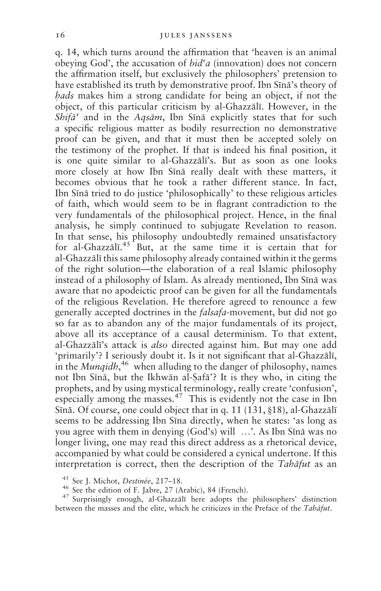q. 14, which turns around the affirmation that 'heaven is an animal obeying God', the accusation of  $bid^c a$  (innovation) does not concern the affirmation itself, but exclusively the philosophers' pretension to have established its truth by demonstrative proof. Ibn Sīnā's theory of *hads* makes him a strong candidate for being an object, if not the object, of this particular criticism by al-Ghazzālī. However, in the Shifa' and in the Aqsam, Ibn Sīnā explicitly states that for such a specific religious matter as bodily resurrection no demonstrative proof can be given, and that it must then be accepted solely on the testimony of the prophet. If that is indeed his final position, it is one quite similar to al-Ghazzali's. But as soon as one looks more closely at how Ibn Sīnā really dealt with these matters, it becomes obvious that he took a rather different stance. In fact, Ibn Sīnā tried to do justice 'philosophically' to these religious articles of faith, which would seem to be in flagrant contradiction to the very fundamentals of the philosophical project. Hence, in the final analysis, he simply continued to subjugate Revelation to reason. In that sense, his philosophy undoubtedly remained unsatisfactory for al-Ghazzali.<sup>45</sup> But, at the same time it is certain that for al-Ghazzālī this same philosophy already contained within it the germs of the right solution—the elaboration of a real Islamic philosophy instead of a philosophy of Islam. As already mentioned, Ibn Sīnā was aware that no apodeictic proof can be given for all the fundamentals of the religious Revelation. He therefore agreed to renounce a few generally accepted doctrines in the *falsafa*-movement, but did not go so far as to abandon any of the major fundamentals of its project, above all its acceptance of a causal determinism. To that extent, al-Ghazzālī's attack is *also* directed against him. But may one add 'primarily'? I seriously doubt it. Is it not significant that al-Ghazzālī, in the *Mungidh*<sup>46</sup> when alluding to the danger of philosophy, names not Ibn Sīnā, but the Ikhwān al-Safā'? It is they who, in citing the prophets, and by using mystical terminology, really create 'confusion', especially among the masses.<sup>47</sup> This is evidently not the case in Ibn Sīnā. Of course, one could object that in q. 11 (131, §18), al-Ghazzālī seems to be addressing Ibn Sīna directly, when he states: 'as long as you agree with them in denying (God's) will ...'. As Ibn Sīnā was no longer living, one may read this direct address as a rhetorical device, accompanied by what could be considered a cynical undertone. If this interpretation is correct, then the description of the Tabafut as an

<sup>47</sup> Surprisingly enough, al-Ghazzali here adopts the philosophers' distinction between the masses and the elite, which he criticizes in the Preface of the Tabafut.

<sup>&</sup>lt;sup>45</sup> See J. Michot, Destinée, 217-18.

<sup>&</sup>lt;sup>46</sup> See the edition of F. Jabre, 27 (Arabic), 84 (French).